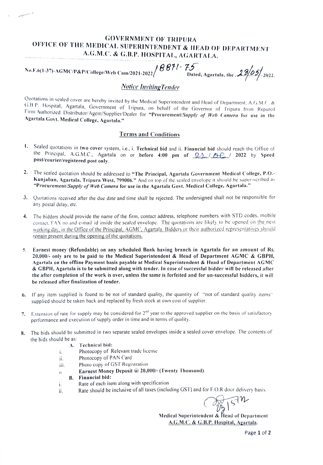### GOVERNMENT OF TRIPURA OFFICE OF THE MEDICAL SUPERINTENDENT & IEAD OF DEPARTMENT A.G.M.C. & G.B.P. HOSPITAL, AGARTALA.

No.F.6(1-37)-AGMC/P&P/College/Web Cam/2021-2022 |  $8871$  -  $75$  Dated, Agartala, the .

#### Notice Inviting Tender

Quotations in sealed cover are hereby invited by the Medical Superintendent and Head of Department, A.G.M.C. & G.B.P. Hospital, Agartala, Government of Tripura, on behalf of the Governor of Tripura from Reputed Firm/Author

#### Terms and Conditions

- 1. Sealed quotations in two cover system, i.e., i. Technical bid and ii. Financial bid should reach the Office of the Principal, A.G.M.C., Agartala on or before 4:00 pm of  $\mathcal{Q}_4$   $\theta$ .  $\theta$ . 2022 by Speed post/courier/registered post only
- 2. The sealed quotation should be addressed to "The Principal, Agartala Government Medical College, P.O.-Kunjaban, Agartala, Tripura West, 799006." And on top of the sealed envelope it should be super-scribed as "Procurement/Supply of Web Camera for use in the Agartala Govt. Medical College, Agartala."
- 3. Quotations received after the due date and tinme shall be rejected. The undersigned shall not be responsible for any postal delay, etc.
- 4. The bidders should provide the name of the firm, contact address, telephone numbers with STD codes. mobile contact. FAX no and e-mail id inside the scaled envelope. The quotations are likely to be opened on the next working day, in the Office of the Principal, AGMC, Agartala. Bidders or their authorized representatives should remain present during the opening of the quotations.
- 5. Earnest money (Refundable) on any scheduled Bank having branch in Agartala for an amount of Rs. 20,000/- only are to be paid to the Medical Superintendent & Head of Department AGMC & GBPH, Agartala on the offline Payment basis payable at Medical Superintendent & Head of Department AGMC & GBPH, Agartala is to be submitted along with tender. In case of successful bidder will be released after the after completion of the work is over, unless the same is forfeited and for un-successful bidders, it wil be released after finalization of tender.
- 6. If any item supplied is found to be not of standard quality, the quantity of "not of standard quality items" supplied should be taken back and replaced by fresh stock at own cost of supplier.
- 7. Extension of rate for supply may be considered for 2<sup>nd</sup> year to the approved supplier on the basis of satisfactory performance and execution of supply order in time and in terms of quality.
- 8. The bids should be submitted in two separate sealed envelopes inside a sealed cover envelope. The contents of the bids should be as:
	- A. Technical bid:
	- Photocopy of Relevant trade license i.
	- Photocopy of PAN Card ii.
	- Photo copy of GST Registration iii.
	- Earnest Money Deposit @20,000/- (Twenty Thousand).  $\overline{N}$
	- B. Financial bid:
	- Rate of each item along with specitication í.
	- ii. Rate should be inclusive of all taxes (including GST) and for F.O.R door delivery basis.<br>  $\begin{array}{ccc}\n\sqrt{2h} & \sqrt{5} & \sqrt{1.6} \\
	\end{array}$

Medieal Superintendent & Head of Department A.G.M.C. & G.B.P. Hospital, Agartala.